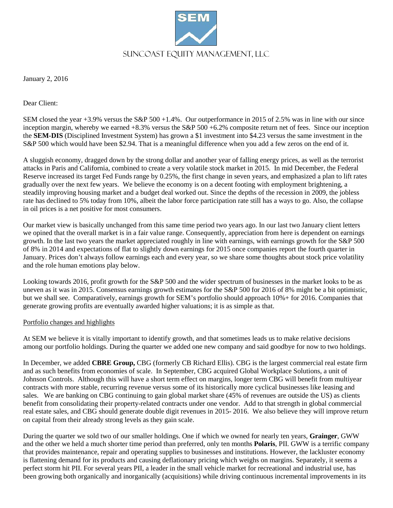

January 2, 2016

Dear Client:

SEM closed the year +3.9% versus the S&P 500 +1.4%. Our outperformance in 2015 of 2.5% was in line with our since inception margin, whereby we earned  $+8.3\%$  versus the S&P 500  $+6.2\%$  composite return net of fees. Since our inception the **SEM-DIS** (Disciplined Investment System) has grown a \$1 investment into \$4.23 versus the same investment in the S&P 500 which would have been \$2.94. That is a meaningful difference when you add a few zeros on the end of it.

A sluggish economy, dragged down by the strong dollar and another year of falling energy prices, as well as the terrorist attacks in Paris and California, combined to create a very volatile stock market in 2015. In mid December, the Federal Reserve increased its target Fed Funds range by 0.25%, the first change in seven years, and emphasized a plan to lift rates gradually over the next few years. We believe the economy is on a decent footing with employment brightening, a steadily improving housing market and a budget deal worked out. Since the depths of the recession in 2009, the jobless rate has declined to 5% today from 10%, albeit the labor force participation rate still has a ways to go. Also, the collapse in oil prices is a net positive for most consumers.

Our market view is basically unchanged from this same time period two years ago. In our last two January client letters we opined that the overall market is in a fair value range. Consequently, appreciation from here is dependent on earnings growth. In the last two years the market appreciated roughly in line with earnings, with earnings growth for the S&P 500 of 8% in 2014 and expectations of flat to slightly down earnings for 2015 once companies report the fourth quarter in January. Prices don't always follow earnings each and every year, so we share some thoughts about stock price volatility and the role human emotions play below.

Looking towards 2016, profit growth for the S&P 500 and the wider spectrum of businesses in the market looks to be as uneven as it was in 2015. Consensus earnings growth estimates for the S&P 500 for 2016 of 8% might be a bit optimistic, but we shall see. Comparatively, earnings growth for SEM's portfolio should approach 10%+ for 2016. Companies that generate growing profits are eventually awarded higher valuations; it is as simple as that.

## Portfolio changes and highlights

At SEM we believe it is vitally important to identify growth, and that sometimes leads us to make relative decisions among our portfolio holdings. During the quarter we added one new company and said goodbye for now to two holdings.

In December, we added **CBRE Group,** CBG (formerly CB Richard Ellis). CBG is the largest commercial real estate firm and as such benefits from economies of scale. In September, CBG acquired Global Workplace Solutions, a unit of Johnson Controls. Although this will have a short term effect on margins, longer term CBG will benefit from multiyear contracts with more stable, recurring revenue versus some of its historically more cyclical businesses like leasing and sales. We are banking on CBG continuing to gain global market share (45% of revenues are outside the US) as clients benefit from consolidating their property-related contracts under one vendor. Add to that strength in global commercial real estate sales, and CBG should generate double digit revenues in 2015- 2016. We also believe they will improve return on capital from their already strong levels as they gain scale.

During the quarter we sold two of our smaller holdings. One if which we owned for nearly ten years, **Grainger**, GWW and the other we held a much shorter time period than preferred, only ten months **Polaris**, PII. GWW is a terrific company that provides maintenance, repair and operating supplies to businesses and institutions. However, the lackluster economy is flattening demand for its products and causing deflationary pricing which weighs on margins. Separately, it seems a perfect storm hit PII. For several years PII, a leader in the small vehicle market for recreational and industrial use, has been growing both organically and inorganically (acquisitions) while driving continuous incremental improvements in its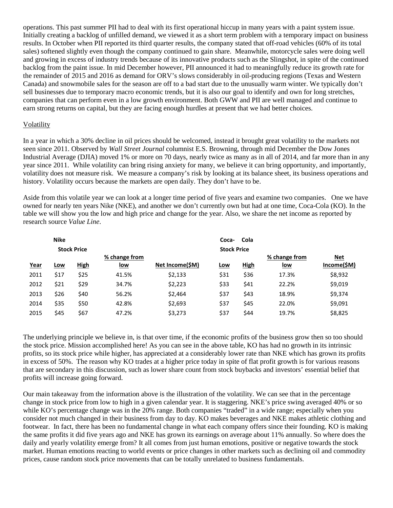operations. This past summer PII had to deal with its first operational hiccup in many years with a paint system issue. Initially creating a backlog of unfilled demand, we viewed it as a short term problem with a temporary impact on business results. In October when PII reported its third quarter results, the company stated that off-road vehicles (60% of its total sales) softened slightly even though the company continued to gain share. Meanwhile, motorcycle sales were doing well and growing in excess of industry trends because of its innovative products such as the Slingshot, in spite of the continued backlog from the paint issue. In mid December however, PII announced it had to meaningfully reduce its growth rate for the remainder of 2015 and 2016 as demand for ORV's slows considerably in oil-producing regions (Texas and Western Canada) and snowmobile sales for the season are off to a bad start due to the unusually warm winter. We typically don't sell businesses due to temporary macro economic trends, but it is also our goal to identify and own for long stretches, companies that can perform even in a low growth environment. Both GWW and PII are well managed and continue to earn strong returns on capital, but they are facing enough hurdles at present that we had better choices.

## Volatility

In a year in which a 30% decline in oil prices should be welcomed, instead it brought great volatility to the markets not seen since 2011. Observed by *Wall Street Journal* columnist E.S. Browning, through mid December the Dow Jones Industrial Average (DJIA) moved 1% or more on 70 days, nearly twice as many as in all of 2014, and far more than in any year since 2011. While volatility can bring rising anxiety for many, we believe it can bring opportunity, and importantly, volatility does not measure risk. We measure a company's risk by looking at its balance sheet, its business operations and history. Volatility occurs because the markets are open daily. They don't have to be.

Aside from this volatile year we can look at a longer time period of five years and examine two companies. One we have owned for nearly ten years Nike (NKE), and another we don't currently own but had at one time, Coca-Cola (KO). In the table we will show you the low and high price and change for the year. Also, we share the net income as reported by research source *Value Line*.

| <b>Nike</b><br><b>Stock Price</b> |            |             |                             |                 | Cola<br>Coca-<br><b>Stock Price</b> |             |                             |                                  |
|-----------------------------------|------------|-------------|-----------------------------|-----------------|-------------------------------------|-------------|-----------------------------|----------------------------------|
| <u>Year</u>                       | <u>Low</u> | <b>High</b> | % change from<br><u>low</u> | Net Income(\$M) | <u>Low</u>                          | <b>High</b> | % change from<br><u>low</u> | <b>Net</b><br><u>Income(\$M)</u> |
| 2011                              | \$17       | \$25        | 41.5%                       | \$2,133         | \$31                                | \$36        | 17.3%                       | \$8,932                          |
| 2012                              | \$21       | \$29        | 34.7%                       | \$2,223         | \$33                                | \$41        | 22.2%                       | \$9,019                          |
| 2013                              | \$26       | \$40        | 56.2%                       | \$2,464         | \$37                                | \$43        | 18.9%                       | \$9,374                          |
| 2014                              | \$35       | \$50        | 42.8%                       | \$2,693         | \$37                                | \$45        | 22.0%                       | \$9,091                          |
| 2015                              | \$45       | \$67        | 47.2%                       | \$3,273         | \$37                                | \$44        | 19.7%                       | \$8,825                          |

The underlying principle we believe in, is that over time, if the economic profits of the business grow then so too should the stock price. Mission accomplished here! As you can see in the above table, KO has had no growth in its intrinsic profits, so its stock price while higher, has appreciated at a considerably lower rate than NKE which has grown its profits in excess of 50%. The reason why KO trades at a higher price today in spite of flat profit growth is for various reasons that are secondary in this discussion, such as lower share count from stock buybacks and investors' essential belief that profits will increase going forward.

Our main takeaway from the information above is the illustration of the volatility. We can see that in the percentage change in stock price from low to high in a given calendar year. It is staggering. NKE's price swing averaged 40% or so while KO's percentage change was in the 20% range. Both companies "traded" in a wide range; especially when you consider not much changed in their business from day to day. KO makes beverages and NKE makes athletic clothing and footwear. In fact, there has been no fundamental change in what each company offers since their founding. KO is making the same profits it did five years ago and NKE has grown its earnings on average about 11% annually. So where does the daily and yearly volatility emerge from? It all comes from just human emotions, positive or negative towards the stock market. Human emotions reacting to world events or price changes in other markets such as declining oil and commodity prices, cause random stock price movements that can be totally unrelated to business fundamentals.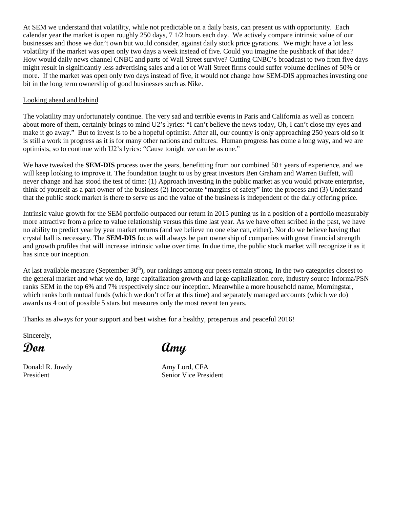At SEM we understand that volatility, while not predictable on a daily basis, can present us with opportunity. Each calendar year the market is open roughly 250 days, 7 1/2 hours each day. We actively compare intrinsic value of our businesses and those we don't own but would consider, against daily stock price gyrations. We might have a lot less volatility if the market was open only two days a week instead of five. Could you imagine the pushback of that idea? How would daily news channel CNBC and parts of Wall Street survive? Cutting CNBC's broadcast to two from five days might result in significantly less advertising sales and a lot of Wall Street firms could suffer volume declines of 50% or more. If the market was open only two days instead of five, it would not change how SEM-DIS approaches investing one bit in the long term ownership of good businesses such as Nike.

## Looking ahead and behind

The volatility may unfortunately continue. The very sad and terrible events in Paris and California as well as concern about more of them, certainly brings to mind U2's lyrics: "I can't believe the news today, Oh, I can't close my eyes and make it go away." But to invest is to be a hopeful optimist. After all, our country is only approaching 250 years old so it is still a work in progress as it is for many other nations and cultures. Human progress has come a long way, and we are optimists, so to continue with U2's lyrics: "Cause tonight we can be as one."

We have tweaked the **SEM-DIS** process over the years, benefitting from our combined 50+ years of experience, and we will keep looking to improve it. The foundation taught to us by great investors Ben Graham and Warren Buffett, will never change and has stood the test of time: (1) Approach investing in the public market as you would private enterprise, think of yourself as a part owner of the business (2) Incorporate "margins of safety" into the process and (3) Understand that the public stock market is there to serve us and the value of the business is independent of the daily offering price.

Intrinsic value growth for the SEM portfolio outpaced our return in 2015 putting us in a position of a portfolio measurably more attractive from a price to value relationship versus this time last year. As we have often scribed in the past, we have no ability to predict year by year market returns (and we believe no one else can, either). Nor do we believe having that crystal ball is necessary. The **SEM-DIS** focus will always be part ownership of companies with great financial strength and growth profiles that will increase intrinsic value over time. In due time, the public stock market will recognize it as it has since our inception.

At last available measure (September  $30<sup>th</sup>$ ), our rankings among our peers remain strong. In the two categories closest to the general market and what we do, large capitalization growth and large capitalization core, industry source Informa/PSN ranks SEM in the top 6% and 7% respectively since our inception. Meanwhile a more household name, Morningstar, which ranks both mutual funds (which we don't offer at this time) and separately managed accounts (which we do) awards us 4 out of possible 5 stars but measures only the most recent ten years.

Thanks as always for your support and best wishes for a healthy, prosperous and peaceful 2016!

Sincerely,

Donald R. Jowdy **Amy Lord, CFA** 

**Don Amy**

President Senior Vice President